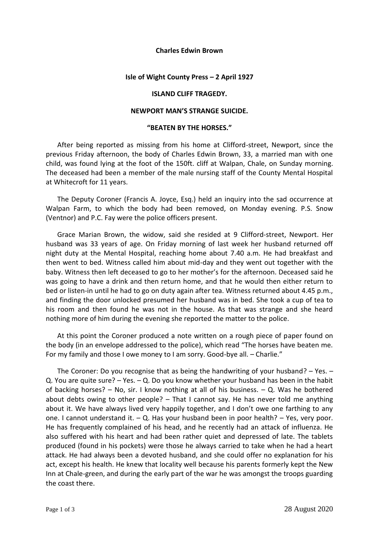### **Charles Edwin Brown**

### **Isle of Wight County Press – 2 April 1927**

# **ISLAND CLIFF TRAGEDY.**

### **NEWPORT MAN'S STRANGE SUICIDE.**

# **"BEATEN BY THE HORSES."**

After being reported as missing from his home at Clifford-street, Newport, since the previous Friday afternoon, the body of Charles Edwin Brown, 33, a married man with one child, was found lying at the foot of the 150ft. cliff at Walpan, Chale, on Sunday morning. The deceased had been a member of the male nursing staff of the County Mental Hospital at Whitecroft for 11 years.

The Deputy Coroner (Francis A. Joyce, Esq.) held an inquiry into the sad occurrence at Walpan Farm, to which the body had been removed, on Monday evening. P.S. Snow (Ventnor) and P.C. Fay were the police officers present.

Grace Marian Brown, the widow, said she resided at 9 Clifford-street, Newport. Her husband was 33 years of age. On Friday morning of last week her husband returned off night duty at the Mental Hospital, reaching home about 7.40 a.m. He had breakfast and then went to bed. Witness called him about mid-day and they went out together with the baby. Witness then left deceased to go to her mother's for the afternoon. Deceased said he was going to have a drink and then return home, and that he would then either return to bed or listen-in until he had to go on duty again after tea. Witness returned about 4.45 p.m., and finding the door unlocked presumed her husband was in bed. She took a cup of tea to his room and then found he was not in the house. As that was strange and she heard nothing more of him during the evening she reported the matter to the police.

At this point the Coroner produced a note written on a rough piece of paper found on the body (in an envelope addressed to the police), which read "The horses have beaten me. For my family and those I owe money to I am sorry. Good-bye all. – Charlie."

The Coroner: Do you recognise that as being the handwriting of your husband?  $-$  Yes.  $-$ Q. You are quite sure? – Yes. – Q. Do you know whether your husband has been in the habit of backing horses?  $-$  No, sir. I know nothing at all of his business.  $-$  Q. Was he bothered about debts owing to other people? – That I cannot say. He has never told me anything about it. We have always lived very happily together, and I don't owe one farthing to any one. I cannot understand it.  $-$  Q. Has your husband been in poor health?  $-$  Yes, very poor. He has frequently complained of his head, and he recently had an attack of influenza. He also suffered with his heart and had been rather quiet and depressed of late. The tablets produced (found in his pockets) were those he always carried to take when he had a heart attack. He had always been a devoted husband, and she could offer no explanation for his act, except his health. He knew that locality well because his parents formerly kept the New Inn at Chale-green, and during the early part of the war he was amongst the troops guarding the coast there.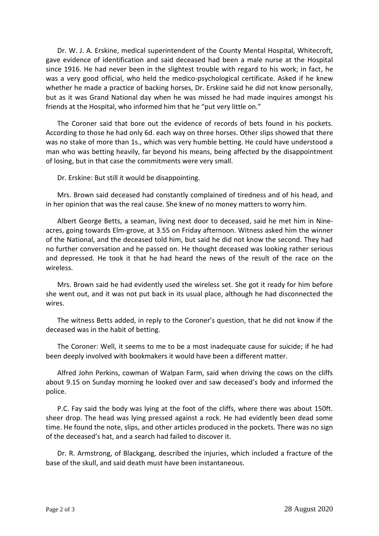Dr. W. J. A. Erskine, medical superintendent of the County Mental Hospital, Whitecroft, gave evidence of identification and said deceased had been a male nurse at the Hospital since 1916. He had never been in the slightest trouble with regard to his work; in fact, he was a very good official, who held the medico-psychological certificate. Asked if he knew whether he made a practice of backing horses, Dr. Erskine said he did not know personally, but as it was Grand National day when he was missed he had made inquires amongst his friends at the Hospital, who informed him that he "put very little on."

The Coroner said that bore out the evidence of records of bets found in his pockets. According to those he had only 6d. each way on three horses. Other slips showed that there was no stake of more than 1s., which was very humble betting. He could have understood a man who was betting heavily, far beyond his means, being affected by the disappointment of losing, but in that case the commitments were very small.

Dr. Erskine: But still it would be disappointing.

Mrs. Brown said deceased had constantly complained of tiredness and of his head, and in her opinion that was the real cause. She knew of no money matters to worry him.

Albert George Betts, a seaman, living next door to deceased, said he met him in Nineacres, going towards Elm-grove, at 3.55 on Friday afternoon. Witness asked him the winner of the National, and the deceased told him, but said he did not know the second. They had no further conversation and he passed on. He thought deceased was looking rather serious and depressed. He took it that he had heard the news of the result of the race on the wireless.

Mrs. Brown said he had evidently used the wireless set. She got it ready for him before she went out, and it was not put back in its usual place, although he had disconnected the wires.

The witness Betts added, in reply to the Coroner's question, that he did not know if the deceased was in the habit of betting.

The Coroner: Well, it seems to me to be a most inadequate cause for suicide; if he had been deeply involved with bookmakers it would have been a different matter.

Alfred John Perkins, cowman of Walpan Farm, said when driving the cows on the cliffs about 9.15 on Sunday morning he looked over and saw deceased's body and informed the police.

P.C. Fay said the body was lying at the foot of the cliffs, where there was about 150ft. sheer drop. The head was lying pressed against a rock. He had evidently been dead some time. He found the note, slips, and other articles produced in the pockets. There was no sign of the deceased's hat, and a search had failed to discover it.

Dr. R. Armstrong, of Blackgang, described the injuries, which included a fracture of the base of the skull, and said death must have been instantaneous.